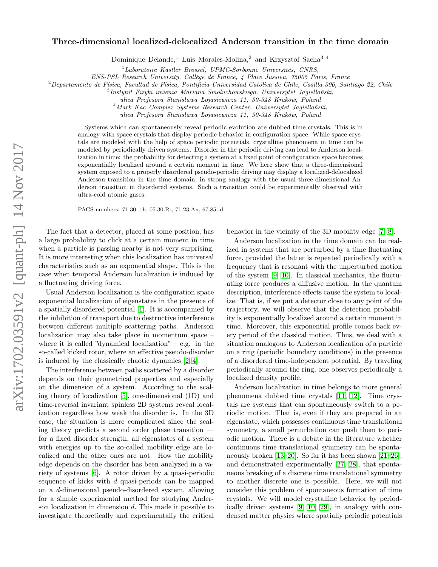## arXiv:1702.03591v2 [quant-ph] 14 Nov 2017 arXiv:1702.03591v2 [quant-ph] 14 Nov 2017

## Three-dimensional localized-delocalized Anderson transition in the time domain

Dominique Delande,<sup>1</sup> Luis Morales-Molina,<sup>2</sup> and Krzysztof Sacha<sup>3,4</sup>

<sup>1</sup>Laboratoire Kastler Brossel, UPMC-Sorbonne Universités, CNRS,

ENS-PSL Research University, Collège de France, 4 Place Jussieu, 75005 Paris, France

 $2$ Departamento de Física, Facultad de Física, Pontificia Universidad Católica de Chile, Casilla 306, Santiago 22, Chile

3 Instytut Fizyki imienia Mariana Smoluchowskiego, Uniwersytet Jagielloński,

ulica Profesora Stanisława Łojasiewicza 11, 30-348 Kraków, Poland

<sup>4</sup>Mark Kac Complex Systems Research Center, Uniwersytet Jagielloński,

ulica Profesora Stanisława Łojasiewicza 11, 30-348 Kraków, Poland

Systems which can spontaneously reveal periodic evolution are dubbed time crystals. This is in analogy with space crystals that display periodic behavior in configuration space. While space crystals are modeled with the help of space periodic potentials, crystalline phenomena in time can be modeled by periodically driven systems. Disorder in the periodic driving can lead to Anderson localization in time: the probability for detecting a system at a fixed point of configuration space becomes exponentially localized around a certain moment in time. We here show that a three-dimensional system exposed to a properly disordered pseudo-periodic driving may display a localized-delocalized Anderson transition in the time domain, in strong analogy with the usual three-dimensional Anderson transition in disordered systems. Such a transition could be experimentally observed with ultra-cold atomic gases.

PACS numbers: 71.30.+h, 05.30.Rt, 71.23.An, 67.85.-d

The fact that a detector, placed at some position, has a large probability to click at a certain moment in time when a particle is passing nearby is not very surprising. It is more interesting when this localization has universal characteristics such as an exponential shape. This is the case when temporal Anderson localization is induced by a fluctuating driving force.

Usual Anderson localization is the configuration space exponential localization of eigenstates in the presence of a spatially disordered potential [\[1\]](#page-4-0). It is accompanied by the inhibition of transport due to destructive interference between different multiple scattering paths. Anderson localization may also take place in momentum space – where it is called "dynamical localization" – e.g. in the so-called kicked rotor, where an effective pseudo-disorder is induced by the classically chaotic dynamics [\[2–](#page-4-1)[4\]](#page-4-2).

The interference between paths scattered by a disorder depends on their geometrical properties and especially on the dimension of a system. According to the scaling theory of localization [\[5\]](#page-4-3), one-dimensional (1D) and time-reversal invariant spinless 2D systems reveal localization regardless how weak the disorder is. In the 3D case, the situation is more complicated since the scaling theory predicts a second order phase transition for a fixed disorder strength, all eigenstates of a system with energies up to the so-called mobility edge are localized and the other ones are not. How the mobility edge depends on the disorder has been analyzed in a variety of systems [\[6\]](#page-4-4). A rotor driven by a quasi-periodic sequence of kicks with d quasi-periods can be mapped on a d-dimensional pseudo-disordered system, allowing for a simple experimental method for studying Anderson localization in dimension  $d$ . This made it possible to investigate theoretically and experimentally the critical

behavior in the vicinity of the 3D mobility edge [\[7,](#page-4-5) [8\]](#page-4-6).

Anderson localization in the time domain can be realized in systems that are perturbed by a time fluctuating force, provided the latter is repeated periodically with a frequency that is resonant with the unperturbed motion of the system [\[9,](#page-4-7) [10\]](#page-4-8). In classical mechanics, the fluctuating force produces a diffusive motion. In the quantum description, interference effects cause the system to localize. That is, if we put a detector close to any point of the trajectory, we will observe that the detection probability is exponentially localized around a certain moment in time. Moreover, this exponential profile comes back every period of the classical motion. Thus, we deal with a situation analogous to Anderson localization of a particle on a ring (periodic boundary conditions) in the presence of a disordered time-independent potential. By traveling periodically around the ring, one observes periodically a localized density profile.

Anderson localization in time belongs to more general phenomena dubbed time crystals [\[11,](#page-4-9) [12\]](#page-4-10). Time crystals are systems that can spontaneously switch to a periodic motion. That is, even if they are prepared in an eigenstate, which possesses continuous time translational symmetry, a small perturbation can push them to periodic motion. There is a debate in the literature whether continuous time translational symmetry can be spontaneously broken [\[13–](#page-4-11)[20\]](#page-4-12). So far it has been shown [\[21–](#page-4-13)[26\]](#page-4-14), and demonstrated experimentally [\[27,](#page-4-15) [28\]](#page-4-16), that spontaneous breaking of a discrete time translational symmetry to another discrete one is possible. Here, we will not consider this problem of spontaneous formation of time crystals. We will model crystalline behavior by periodically driven systems [\[9,](#page-4-7) [10,](#page-4-8) [29\]](#page-4-17), in analogy with condensed matter physics where spatially periodic potentials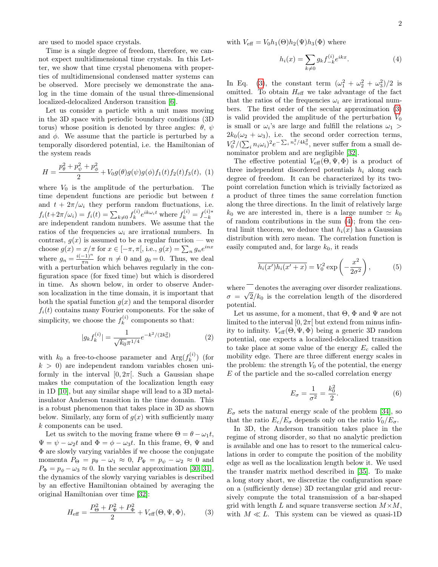are used to model space crystals.

Time is a single degree of freedom, therefore, we cannot expect multidimensional time crystals. In this Letter, we show that time crystal phenomena with properties of multidimensional condensed matter systems can be observed. More precisely we demonstrate the analog in the time domain of the usual three-dimensional localized-delocalized Anderson transition [\[6\]](#page-4-4).

Let us consider a particle with a unit mass moving in the 3D space with periodic boundary conditions (3D torus) whose position is denoted by three angles:  $\theta$ ,  $\psi$ and  $\phi$ . We assume that the particle is perturbed by a temporally disordered potential, i.e. the Hamiltonian of the system reads

<span id="page-1-2"></span>
$$
H = \frac{p_{\theta}^{2} + p_{\psi}^{2} + p_{\phi}^{2}}{2} + V_{0}g(\theta)g(\psi)g(\phi)f_{1}(t)f_{2}(t)f_{3}(t), (1)
$$

where  $V_0$  is the amplitude of the perturbation. The time dependent functions are periodic but between t and  $t + 2\pi/\omega_i$  they perform random fluctuations, i.e.  $f_i(t+2\pi/\omega_i) = f_i(t) = \sum_{k\neq 0} f_k^{(i)}$  $k^{(i)} e^{ik\omega_i t}$  where  $f_k^{(i)} = f_{-k}^{(i)*}$  $J_i(t+2\pi/\omega_i) - J_i(t) - \sum_{k\neq 0} J_k e^{-\omega_k}$  where  $J_k - J_{-k}$ <br>are independent random numbers. We assume that the ratios of the frequencies  $\omega_i$  are irrational numbers. In contrast,  $g(x)$  is assumed to be a regular function — we choose  $g(x) = x/\pi$  for  $x \in [-\pi, \pi[,$  i.e.,  $g(x) = \sum_n g_n e^{inx}$ where  $g_n = \frac{i(-1)^n}{\pi n}$  $\frac{-1}{\pi n}$  for  $n \neq 0$  and  $g_0 = 0$ . Thus, we deal with a perturbation which behaves regularly in the configuration space (for fixed time) but which is disordered in time. As shown below, in order to observe Anderson localization in the time domain, it is important that both the spatial function  $g(x)$  and the temporal disorder  $f_i(t)$  contains many Fourier components. For the sake of simplicity, we choose the  $f_k^{(i)}$  $k^{(i)}$  components so that:

$$
|g_k f_k^{(i)}| = \frac{1}{\sqrt{k_0} \pi^{1/4}} e^{-k^2/(2k_0^2)}
$$
 (2)

with  $k_0$  a free-to-choose parameter and  $Arg(f_k^{(i)})$  $\binom{n}{k}$  (for  $k > 0$ ) are independent random variables chosen uniformly in the interval  $[0, 2\pi]$ . Such a Gaussian shape makes the computation of the localization length easy in 1D [\[10\]](#page-4-8), but any similar shape will lead to a 3D metalinsulator Anderson transition in the time domain. This is a robust phenomenon that takes place in 3D as shown below. Similarly, any form of  $g(x)$  with sufficiently many k components can be used.

Let us switch to the moving frame where  $\Theta = \theta - \omega_1 t$ ,  $\Psi = \psi - \omega_2 t$  and  $\Phi = \phi - \omega_3 t$ . In this frame,  $\Theta$ ,  $\Psi$  and Φ are slowly varying variables if we choose the conjugate momenta  $P_{\Theta} = p_{\theta} - \omega_1 \approx 0$ ,  $P_{\Psi} = p_{\psi} - \omega_2 \approx 0$  and  $P_{\Phi} = p_{\phi} - \omega_3 \approx 0$ . In the secular approximation [\[30,](#page-4-18) [31\]](#page-4-19), the dynamics of the slowly varying variables is described by an effective Hamiltonian obtained by averaging the original Hamiltonian over time [\[32\]](#page-4-20):

<span id="page-1-0"></span>
$$
H_{\text{eff}} = \frac{P_{\Theta}^2 + P_{\Psi}^2 + P_{\Phi}^2}{2} + V_{\text{eff}}(\Theta, \Psi, \Phi), \tag{3}
$$

with  $V_{\text{eff}} = V_0 h_1(\Theta) h_2(\Psi) h_3(\Phi)$  where

<span id="page-1-1"></span>
$$
h_i(x) = \sum_{k \neq 0} g_k f_{-k}^{(i)} e^{ikx}.
$$
 (4)

In Eq. [\(3\)](#page-1-0), the constant term  $(\omega_1^2 + \omega_2^2 + \omega_3^2)/2$  is omitted. To obtain  $H_{\text{eff}}$  we take advantage of the fact that the ratios of the frequencies  $\omega_i$  are irrational numbers. The first order of the secular approximation [\(3\)](#page-1-0) is valid provided the amplitude of the perturbation  $V_0$ is small or  $\omega_i$ 's are large and fulfill the relations  $\omega_1$  >  $2k_0(\omega_2 + \omega_3)$ , i.e. the second order correction terms,  $V_0^2/(\sum_i n_i \omega_i)^2 e^{-\sum_i n_i^2/4k_0^2}$ , never suffer from a small denominator problem and are negligible [\[32\]](#page-4-20).

The effective potential  $V_{\text{eff}}(\Theta, \Psi, \Phi)$  is a product of three independent disordered potentials  $h_i$  along each degree of freedom. It can be characterized by its twopoint correlation function which is trivially factorized as a product of three times the same correlation function along the three directions. In the limit of relatively large  $k_0$  we are interested in, there is a large number  $\simeq k_0$ of random contributions in the sum [\(4\)](#page-1-1); from the central limit theorem, we deduce that  $h_i(x)$  has a Gaussian distribution with zero mean. The correlation function is easily computed and, for large  $k_0$ , it reads

$$
\overline{h_i(x')h_i(x'+x)} = V_0^2 \exp\left(-\frac{x^2}{2\sigma^2}\right),\tag{5}
$$

where  $\frac{1}{\sqrt{2}}$  denotes the averaging over disorder realizations.  $\sigma = \sqrt{2/k_0}$  is the correlation length of the disordered potential.

Let us assume, for a moment, that  $\Theta$ ,  $\Phi$  and  $\Psi$  are not limited to the interval  $[0, 2\pi]$  but extend from minus infinity to infinity.  $V_{\text{eff}}(\Theta, \Psi, \Phi)$  being a generic 3D random potential, one expects a localized-delocalized transition to take place at some value of the energy  $E_c$  called the mobility edge. There are three different energy scales in the problem: the strength  $V_0$  of the potential, the energy E of the particle and the so-called correlation energy

$$
E_{\sigma} = \frac{1}{\sigma^2} = \frac{k_0^2}{2}.
$$
 (6)

 $E_{\sigma}$  sets the natural energy scale of the problem [\[34\]](#page-4-21), so that the ratio  $E_c/E_{\sigma}$  depends only on the ratio  $V_0/E_{\sigma}$ .

In 3D, the Anderson transition takes place in the regime of strong disorder, so that no analytic prediction is available and one has to resort to the numerical calculations in order to compute the position of the mobility edge as well as the localization length below it. We used the transfer matrix method described in [\[35\]](#page-4-22). To make a long story short, we discretize the configuration space on a (sufficiently dense) 3D rectangular grid and recursively compute the total transmission of a bar-shaped grid with length L and square transverse section  $M \times M$ , with  $M \ll L$ . This system can be viewed as quasi-1D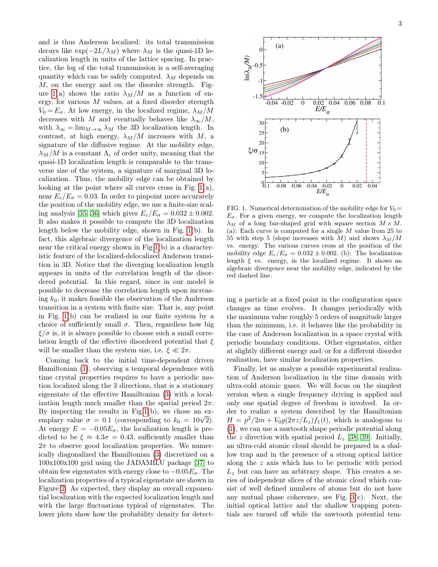and is thus Anderson localized: its total transmission decays like  $\exp(-2L/\lambda_M)$  where  $\lambda_M$  is the quasi-1D localization length in units of the lattice spacing. In practice, the log of the total transmission is a self-averaging quantity which can be safely computed.  $\lambda_M$  depends on M, on the energy and on the disorder strength. Fig-ure [1\(](#page-2-0)a) shows the ratio  $\lambda_M/M$  as a function of energy, for various  $M$  values, at a fixed disorder strength  $V_0 = E_{\sigma}$ . At low energy, in the localized regime,  $\lambda_M/M$ decreases with M and eventually behaves like  $\lambda_{\infty}/M$ , with  $\lambda_{\infty} = \lim_{M \to \infty} \lambda_M$  the 3D localization length. In contrast, at high energy,  $\lambda_M/M$  increases with M, a signature of the diffusive regime. At the mobility edge,  $\lambda_M/M$  is a constant  $\Lambda_c$  of order unity, meaning that the quasi-1D localization length is comparable to the transverse size of the system, a signature of marginal 3D localization. Thus, the mobility edge can be obtained by looking at the point where all curves cross in Fig.  $1(a)$ , near  $E_c/E_{\sigma} = 0.03$ . In order to pinpoint more accurately the position of the mobility edge, we use a finite-size scal-ing analysis [\[35,](#page-4-22) [36\]](#page-4-23) which gives  $E_c/E_{\sigma} = 0.032 \pm 0.002$ . It also makes it possible to compute the 3D localization length below the mobility edge, shown in Fig. [1\(](#page-2-0)b). In fact, this algebraic divergence of the localization length near the critical energy shown in Fig [1\(](#page-2-0)b) is a characteristic feature of the localized-delocalized Anderson transition in 3D. Notice that the diverging localization length appears in units of the correlation length of the disordered potential. In this regard, since in our model is possible to decrease the correlation length upon increasing  $k_0$ , it makes feasible the observation of the Anderson transition in a system with finite size. That is, any point in Fig. [1\(](#page-2-0)b) can be realized in our finite system by a choice of sufficiently small  $\sigma$ . Then, regardless how big  $\xi/\sigma$  is, it is always possible to choose such a small correlation length of the effective disordered potential that  $\xi$ will be smaller than the system size, i.e.  $\xi \ll 2\pi$ .

Coming back to the initial time-dependent driven Hamiltonian [\(1\)](#page-1-2), observing a temporal dependence with time crystal properties requires to have a periodic motion localized along the 3 directions, that is a stationary eigenstate of the effective Hamiltonian [\(3\)](#page-1-0) with a localization length much smaller than the spatial period  $2\pi$ . By inspecting the results in Fig[.1\(](#page-2-0)b), we chose an ex-By inspecting the results in Fig.1(b), we chose an ex-<br>emplary value  $\sigma = 0.1$  (corresponding to  $k_0 = 10\sqrt{2}$ ). At energy  $E = -0.05E_{\sigma}$ , the localization length is predicted to be  $\xi \approx 4.3\sigma = 0.43$ , sufficiently smaller than  $2\pi$  to observe good localization properties. We numerically diagonalized the Hamiltonian [\(3\)](#page-1-0) discretized on a 100x100x100 grid using the JADAMILU package [\[37\]](#page-4-24) to obtain few eigenstates with energy close to  $-0.05E_{\sigma}$ . The localization properties of a typical eigenstate are shown in Figure [2.](#page-3-0) As expected, they display an overall exponential localization with the expected localization length and with the large fluctuations typical of eigenstates. The lower plots show how the probability density for detect-



<span id="page-2-0"></span>FIG. 1. Numerical determination of the mobility edge for  $V_0 =$  $E_{\sigma}$ . For a given energy, we compute the localization length  $\lambda_M$  of a long bar-shaped grid with square section  $M \times M$ . (a): Each curve is computed for a single  $M$  value from 25 to 55 with step 5 (slope increases with M) and shows  $\lambda_M/M$ vs. energy. The various curves cross at the position of the mobility edge  $E_c/E_{\sigma} = 0.032 \pm 0.002$ . (b): The localization length  $\xi$  vs. energy, in the localized regime. It shows an algebraic divergence near the mobility edge, indicated by the red dashed line.

ing a particle at a fixed point in the configuration space changes as time evolves. It changes periodically with the maximum value roughly 5 orders of magnitude larger than the minimum, i.e. it behaves like the probability in the case of Anderson localization in a space crystal with periodic boundary conditions. Other eigenstates, either at slightly different energy and/or for a different disorder realization, have similar localization properties.

Finally, let us analyze a possible experimental realization of Anderson localization in the time domain with ultra-cold atomic gases. We will focus on the simplest version when a single frequency driving is applied and only one spatial degree of freedom is involved. In order to realize a system described by the Hamiltonian  $H = p^2/2m + V_0g(2\pi z/L_z)f_1(t)$ , which is analogous to [\(1\)](#page-1-2), we can use a sawtooth shape periodic potential along the z direction with spatial period  $L_z$  [\[38,](#page-4-25) [39\]](#page-4-26). Initially, an ultra-cold atomic cloud should be prepared in a shallow trap and in the presence of a strong optical lattice along the z axis which has to be periodic with period  $L_z$  but can have an arbitrary shape. This creates a series of independent slices of the atomic cloud which consist of well defined numbers of atoms but do not have any mutual phase coherence, see Fig.  $3(c)$ . Next, the initial optical lattice and the shallow trapping potentials are turned off while the sawtooth potential tem-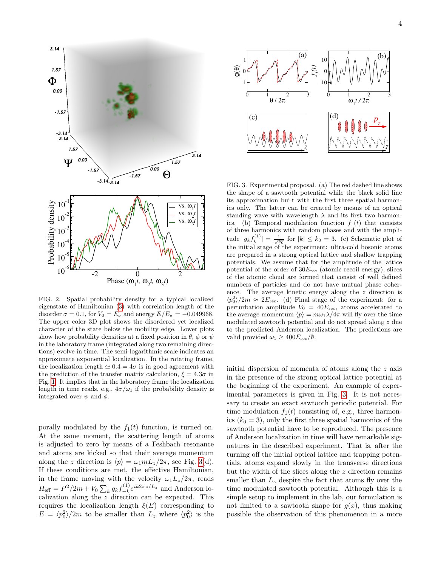

<span id="page-3-0"></span>FIG. 2. Spatial probability density for a typical localized eigenstate of Hamiltonian [\(3\)](#page-1-0) with correlation length of the disorder  $\sigma = 0.1$ , for  $V_0 = E_{\sigma}$  and energy  $E/E_{\sigma} = -0.049968$ . The upper color 3D plot shows the disordered yet localized character of the state below the mobility edge. Lower plots show how probability densities at a fixed position in  $\theta$ ,  $\phi$  or  $\psi$ in the laboratory frame (integrated along two remaining directions) evolve in time. The semi-logarithmic scale indicates an approximate exponential localization. In the rotating frame, the localization length  $\simeq 0.4 = 4\sigma$  is in good agreement with the prediction of the transfer matrix calculation,  $\xi = 4.3\sigma$  in Fig. [1.](#page-2-0) It implies that in the laboratory frame the localization length in time reads, e.g.,  $4\sigma/\omega_1$  if the probability density is integrated over  $\psi$  and  $\phi$ .

porally modulated by the  $f_1(t)$  function, is turned on. At the same moment, the scattering length of atoms is adjusted to zero by means of a Feshbach resonance and atoms are kicked so that their average momentum along the z direction is  $\langle p \rangle = \omega_1 m L_z / 2\pi$ , see Fig. [3\(](#page-3-1)d). If these conditions are met, the effective Hamiltonian, in the frame moving with the velocity  $\omega_1 L_z/2\pi$ , reads  $H_{\text{eff}} = P^2/2m + V_0 \sum_k g_k f_{-k}^{(1)}$  $\sum_{k=0}^{(1)} e^{ik2\pi z/L_z}$  and Anderson localization along the z direction can be expected. This requires the localization length  $\xi(E)$  corresponding to  $E = \langle p_0^2 \rangle / 2m$  to be smaller than  $L_z$  where  $\langle p_0^2 \rangle$  is the



<span id="page-3-1"></span>FIG. 3. Experimental proposal. (a) The red dashed line shows the shape of a sawtooth potential while the black solid line its approximation built with the first three spatial harmonics only. The latter can be created by means of an optical standing wave with wavelength  $\lambda$  and its first two harmonics. (b) Temporal modulation function  $f_1(t)$  that consists of three harmonics with random phases and with the amplitude  $|g_k f_k^{(1)}| = \frac{1}{\sqrt{k_0}}$  for  $|k| \leq k_0 = 3$ . (c) Schematic plot of the initial stage of the experiment: ultra-cold bosonic atoms are prepared in a strong optical lattice and shallow trapping potentials. We assume that for the amplitude of the lattice potential of the order of  $30E_{\text{rec}}$  (atomic recoil energy), slices of the atomic cloud are formed that consist of well defined numbers of particles and do not have mutual phase coherence. The average kinetic energy along the z direction is  $\langle p_0^2 \rangle / 2m \approx 2E_{\text{rec}}$ . (d) Final stage of the experiment: for a perturbation amplitude  $V_0 = 40E_{\text{rec}}$ , atoms accelerated to the average momentum  $\langle p \rangle = m\omega_1\lambda/4\pi$  will fly over the time modulated sawtooth potential and do not spread along z due to the predicted Anderson localization. The predictions are valid provided  $\omega_1 \geq 400 E_{\text{rec}}/\hbar$ .

initial dispersion of momenta of atoms along the z axis in the presence of the strong optical lattice potential at the beginning of the experiment. An example of experimental parameters is given in Fig. [3.](#page-3-1) It is not necessary to create an exact sawtooth periodic potential. For time modulation  $f_1(t)$  consisting of, e.g., three harmonics  $(k_0 = 3)$ , only the first three spatial harmonics of the sawtooth potential have to be reproduced. The presence of Anderson localization in time will have remarkable signatures in the described experiment. That is, after the turning off the initial optical lattice and trapping potentials, atoms expand slowly in the transverse directions but the width of the slices along the  $z$  direction remains smaller than  $L_z$  despite the fact that atoms fly over the time modulated sawtooth potential. Although this is a simple setup to implement in the lab, our formulation is not limited to a sawtooth shape for  $q(x)$ , thus making possible the observation of this phenomenon in a more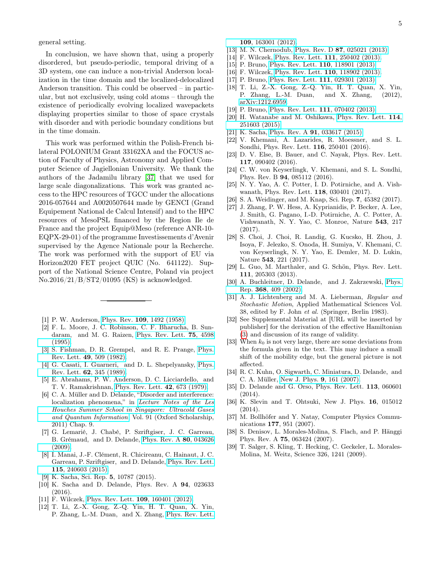general setting.

In conclusion, we have shown that, using a properly disordered, but pseudo-periodic, temporal driving of a 3D system, one can induce a non-trivial Anderson localization in the time domain and the localized-delocalized Anderson transition. This could be observed – in particular, but not exclusively, using cold atoms – through the existence of periodically evolving localized wavepackets displaying properties similar to those of space crystals with disorder and with periodic boundary conditions but in the time domain.

This work was performed within the Polish-French bilateral POLONIUM Grant 33162XA and the FOCUS action of Faculty of Physics, Astronomy and Applied Computer Science of Jagiellonian University. We thank the authors of the Jadamilu library [\[37\]](#page-4-24) that we used for large scale diagonalizations. This work was granted access to the HPC resources of TGCC under the allocations 2016-057644 and A0020507644 made by GENCI (Grand Equipement National de Calcul Intensif) and to the HPC resources of MesoPSL financed by the Region Ile de France and the project Equip@Meso (reference ANR-10- EQPX-29-01) of the programme Investissements d'Avenir supervised by the Agence Nationale pour la Recherche. The work was performed with the support of EU via Horizon2020 FET project QUIC (No. 641122). Support of the National Science Centre, Poland via project No.2016/21/B/ST2/01095 (KS) is acknowledged.

- <span id="page-4-0"></span>[1] P. W. Anderson, Phys. Rev. **109**[, 1492 \(1958\).](http://dx.doi.org/10.1103/PhysRev.109.1492)
- <span id="page-4-1"></span>[2] F. L. Moore, J. C. Robinson, C. F. Bharucha, B. Sundaram, and M. G. Raizen, [Phys. Rev. Lett.](http://dx.doi.org/ 10.1103/PhysRevLett.75.4598) 75, 4598 [\(1995\).](http://dx.doi.org/ 10.1103/PhysRevLett.75.4598)
- [3] S. Fishman, D. R. Grempel, and R. E. Prange, [Phys.](http://dx.doi.org/10.1103/PhysRevLett.49.509) Rev. Lett. 49[, 509 \(1982\).](http://dx.doi.org/10.1103/PhysRevLett.49.509)
- <span id="page-4-2"></span>[4] G. Casati, I. Guarneri, and D. L. Shepelyansky, [Phys.](http://dx.doi.org/10.1103/PhysRevLett.62.345) Rev. Lett. 62[, 345 \(1989\).](http://dx.doi.org/10.1103/PhysRevLett.62.345)
- <span id="page-4-3"></span>[5] E. Abrahams, P. W. Anderson, D. C. Licciardello, and T. V. Ramakrishnan, [Phys. Rev. Lett.](http://dx.doi.org/10.1103/PhysRevLett.42.673) 42, 673 (1979).
- <span id="page-4-4"></span>[6] C. A. Müller and D. Delande, "Disorder and interference: localization phenomena," in [Lecture Notes of the Les](http://dx.doi.org/ DOI:10.1093/acprof:oso/9780199603657.003.0009) [Houches Summer School in Singapore: Ultracold Gases](http://dx.doi.org/ DOI:10.1093/acprof:oso/9780199603657.003.0009) [and Quantum Information](http://dx.doi.org/ DOI:10.1093/acprof:oso/9780199603657.003.0009), Vol. 91 (Oxford Scholarship, 2011) Chap. 9.
- <span id="page-4-5"></span>[7] G. Lemarié, J. Chabé, P. Szriftgiser, J. C. Garreau, B. Grémaud, and D. Delande, [Phys. Rev. A](http://dx.doi.org/ 10.1103/PhysRevA.80.043626) 80, 043626 [\(2009\).](http://dx.doi.org/ 10.1103/PhysRevA.80.043626)
- <span id="page-4-6"></span>[8] I. Manai, J.-F. Clément, R. Chicireanu, C. Hainaut, J. C. Garreau, P. Szriftgiser, and D. Delande, [Phys. Rev. Lett.](http://dx.doi.org/ 10.1103/PhysRevLett.115.240603) 115[, 240603 \(2015\).](http://dx.doi.org/ 10.1103/PhysRevLett.115.240603)
- <span id="page-4-7"></span>[9] K. Sacha, Sci. Rep. 5, 10787 (2015).
- <span id="page-4-8"></span>[10] K. Sacha and D. Delande, Phys. Rev. A 94, 023633 (2016).
- <span id="page-4-9"></span>[11] F. Wilczek, [Phys. Rev. Lett.](http://dx.doi.org/10.1103/PhysRevLett.109.160401) **109**, 160401 (2012).
- <span id="page-4-10"></span>[12] T. Li, Z.-X. Gong, Z.-Q. Yin, H. T. Quan, X. Yin, P. Zhang, L.-M. Duan, and X. Zhang, [Phys. Rev. Lett.](http://dx.doi.org/10.1103/PhysRevLett.109.163001)

109[, 163001 \(2012\).](http://dx.doi.org/10.1103/PhysRevLett.109.163001)

- <span id="page-4-11"></span>[13] M. N. Chernodub, Phys. Rev. D 87[, 025021 \(2013\).](http://dx.doi.org/10.1103/PhysRevD.87.025021)
- [14] F. Wilczek, [Phys. Rev. Lett.](http://dx.doi.org/10.1103/PhysRevLett.111.250402) 111, 250402 (2013).
- [15] P. Bruno, [Phys. Rev. Lett.](http://dx.doi.org/10.1103/PhysRevLett.110.118901) **110**, 118901 (2013).
- [16] F. Wilczek, [Phys. Rev. Lett.](http://dx.doi.org/10.1103/PhysRevLett.110.118902) **110**, 118902 (2013). [17] P. Bruno, [Phys. Rev. Lett.](http://dx.doi.org/10.1103/PhysRevLett.111.029301) **111**, 029301 (2013).
- [18] T. Li, Z.-X. Gong, Z.-Q. Yin, H. T. Quan, X. Yin,
- P. Zhang, L.-M. Duan, and X. Zhang, (2012), [arXiv:1212.6959.](http://arxiv.org/abs/1212.6959)
- [19] P. Bruno, [Phys. Rev. Lett.](http://dx.doi.org/10.1103/PhysRevLett.111.070402) **111**, 070402 (2013).
- <span id="page-4-12"></span>[20] H. Watanabe and M. Oshikawa, [Phys. Rev. Lett.](http://dx.doi.org/10.1103/PhysRevLett.114.251603) 114, [251603 \(2015\).](http://dx.doi.org/10.1103/PhysRevLett.114.251603)
- <span id="page-4-13"></span>[21] K. Sacha, Phys. Rev. A **91**[, 033617 \(2015\).](http://dx.doi.org/10.1103/PhysRevA.91.033617)
- [22] V. Khemani, A. Lazarides, R. Moessner, and S. L. Sondhi, Phys. Rev. Lett. 116, 250401 (2016).
- [23] D. V. Else, B. Bauer, and C. Nayak, Phys. Rev. Lett. 117, 090402 (2016).
- [24] C. W. von Keyserlingk, V. Khemani, and S. L. Sondhi, Phys. Rev. B 94, 085112 (2016).
- [25] N. Y. Yao, A. C. Potter, I. D. Potirniche, and A. Vishwanath, Phys. Rev. Lett. 118, 030401 (2017).
- <span id="page-4-14"></span>[26] S. A. Weidinger, and M. Knap, Sci. Rep. 7, 45382 (2017).
- <span id="page-4-15"></span>[27] J. Zhang, P. W. Hess, A. Kyprianidis, P. Becker, A. Lee, J. Smith, G. Pagano, I.-D. Potirniche, A. C. Potter, A. Vishwanath, N. Y. Yao, C. Monroe, Nature 543, 217 (2017).
- <span id="page-4-16"></span>[28] S. Choi, J. Choi, R. Landig, G. Kucsko, H. Zhou, J. Isoya, F. Jelezko, S. Onoda, H. Sumiya, V. Khemani, C. von Keyserlingk, N. Y. Yao, E. Demler, M. D. Lukin, Nature 543, 221 (2017).
- <span id="page-4-17"></span>[29] L. Guo, M. Marthaler, and G. Schön, Phys. Rev. Lett. 111, 205303 (2013).
- <span id="page-4-18"></span>[30] A. Buchleitner, D. Delande, and J. Zakrzewski, [Phys.](http://www.sciencedirect.com/science/article/pii/S0370157302002703) Rep. 368[, 409 \(2002\).](http://www.sciencedirect.com/science/article/pii/S0370157302002703)
- <span id="page-4-19"></span>[31] A. J. Lichtenberg and M. A. Lieberman, Regular and Stochastic Motion, Applied Mathematical Sciences Vol. 38, edited by F. John et al. (Springer, Berlin 1983).
- <span id="page-4-20"></span>[32] See Supplemental Material at [URL will be inserted by publisher] for the derivation of the effective Hamiltonian [\(3\)](#page-1-0) and discussion of its range of validity.
- [33] When  $k_0$  is not very large, there are some deviations from the formula given in the text. This may induce a small shift of the mobility edge, but the general picture is not affected.
- <span id="page-4-21"></span>[34] R. C. Kuhn, O. Sigwarth, C. Miniatura, D. Delande, and C. A. Müller, [New J. Phys.](http://dx.doi.org/ 10.1088/1367-2630/9/6/161) 9, 161 (2007).
- <span id="page-4-22"></span>[35] D. Delande and G. Orso, Phys. Rev. Lett. 113, 060601 (2014).
- <span id="page-4-23"></span>[36] K. Slevin and T. Ohtsuki, New J. Phys. 16, 015012 (2014).
- <span id="page-4-24"></span>[37] M. Bollhöfer and Y. Natay, Computer Physics Communications 177, 951 (2007).
- <span id="page-4-25"></span>[38] S. Denisov, L. Morales-Molina, S. Flach, and P. Hänggi Phys. Rev. A 75, 063424 (2007).
- <span id="page-4-26"></span>[39] T. Salger, S. Kling, T. Hecking, C. Geckeler, L. Morales-Molina, M. Weitz, Science 326, 1241 (2009).